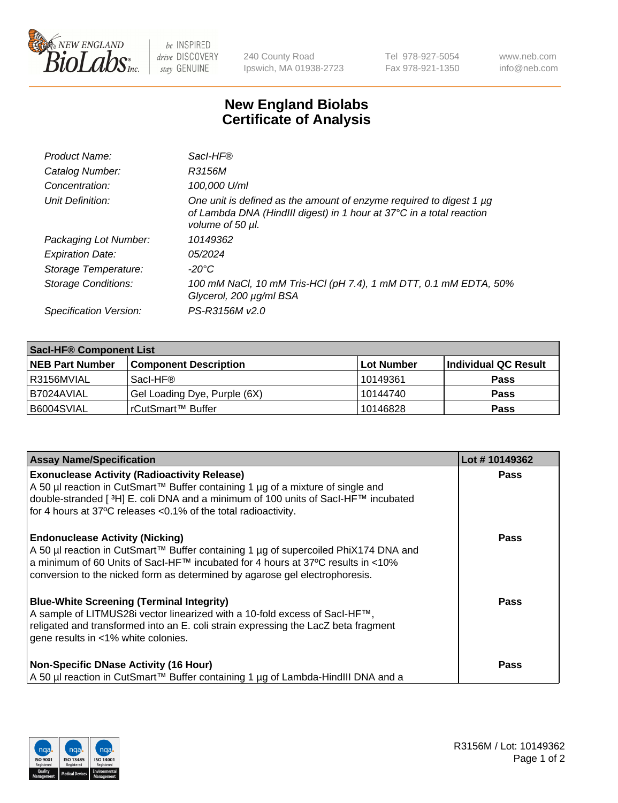

 $be$  INSPIRED drive DISCOVERY stay GENUINE

240 County Road Ipswich, MA 01938-2723 Tel 978-927-5054 Fax 978-921-1350 www.neb.com info@neb.com

## **New England Biolabs Certificate of Analysis**

| Product Name:              | Sacl-HF®                                                                                                                                                        |
|----------------------------|-----------------------------------------------------------------------------------------------------------------------------------------------------------------|
| Catalog Number:            | R3156M                                                                                                                                                          |
| Concentration:             | 100,000 U/ml                                                                                                                                                    |
| Unit Definition:           | One unit is defined as the amount of enzyme required to digest 1 µg<br>of Lambda DNA (HindIII digest) in 1 hour at 37°C in a total reaction<br>volume of 50 µl. |
| Packaging Lot Number:      | 10149362                                                                                                                                                        |
| <b>Expiration Date:</b>    | 05/2024                                                                                                                                                         |
| Storage Temperature:       | -20°C                                                                                                                                                           |
| <b>Storage Conditions:</b> | 100 mM NaCl, 10 mM Tris-HCl (pH 7.4), 1 mM DTT, 0.1 mM EDTA, 50%<br>Glycerol, 200 µg/ml BSA                                                                     |
| Specification Version:     | PS-R3156M v2.0                                                                                                                                                  |

| <b>Saci-HF® Component List</b> |                              |            |                      |  |  |
|--------------------------------|------------------------------|------------|----------------------|--|--|
| <b>NEB Part Number</b>         | <b>Component Description</b> | Lot Number | Individual QC Result |  |  |
| I R3156MVIAL                   | Sacl-HF®                     | l 10149361 | <b>Pass</b>          |  |  |
| I B7024AVIAL                   | Gel Loading Dye, Purple (6X) | 10144740   | <b>Pass</b>          |  |  |
| B6004SVIAL                     | rCutSmart™ Buffer            | 10146828   | <b>Pass</b>          |  |  |

| <b>Assay Name/Specification</b>                                                                                                                                                                                                                                                                 | Lot #10149362 |
|-------------------------------------------------------------------------------------------------------------------------------------------------------------------------------------------------------------------------------------------------------------------------------------------------|---------------|
| <b>Exonuclease Activity (Radioactivity Release)</b><br>A 50 µl reaction in CutSmart™ Buffer containing 1 µg of a mixture of single and<br> double-stranded [ <sup>3</sup> H] E. coli DNA and a minimum of 100 units of Sacl-HF™ incubated                                                       | <b>Pass</b>   |
| for 4 hours at 37°C releases <0.1% of the total radioactivity.                                                                                                                                                                                                                                  |               |
| <b>Endonuclease Activity (Nicking)</b><br>A 50 µl reaction in CutSmart™ Buffer containing 1 µg of supercoiled PhiX174 DNA and<br>a minimum of 60 Units of Sacl-HF™ incubated for 4 hours at 37°C results in <10%<br>conversion to the nicked form as determined by agarose gel electrophoresis. | <b>Pass</b>   |
| <b>Blue-White Screening (Terminal Integrity)</b><br>A sample of LITMUS28i vector linearized with a 10-fold excess of SacI-HF™,<br>religated and transformed into an E. coli strain expressing the LacZ beta fragment<br>gene results in <1% white colonies.                                     | <b>Pass</b>   |
| <b>Non-Specific DNase Activity (16 Hour)</b><br>A 50 µl reaction in CutSmart™ Buffer containing 1 µg of Lambda-HindIII DNA and a                                                                                                                                                                | Pass          |